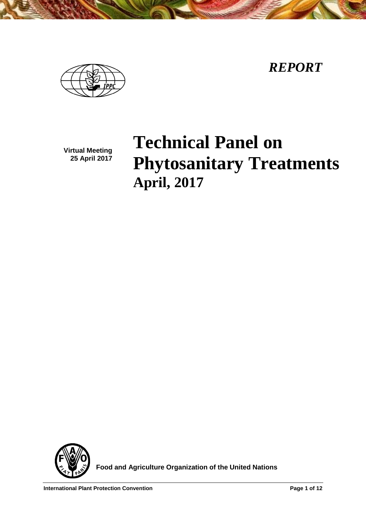*REPORT*



**Virtual Meeting 25 April 2017**

# **Technical Panel on Phytosanitary Treatments April, 2017**



 **Food and Agriculture Organization of the United Nations**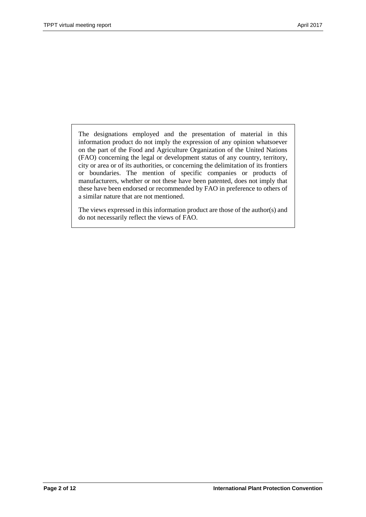The designations employed and the presentation of material in this information product do not imply the expression of any opinion whatsoever on the part of the Food and Agriculture Organization of the United Nations (FAO) concerning the legal or development status of any country, territory, city or area or of its authorities, or concerning the delimitation of its frontiers or boundaries. The mention of specific companies or products of manufacturers, whether or not these have been patented, does not imply that these have been endorsed or recommended by FAO in preference to others of a similar nature that are not mentioned.

The views expressed in this information product are those of the author(s) and do not necessarily reflect the views of FAO.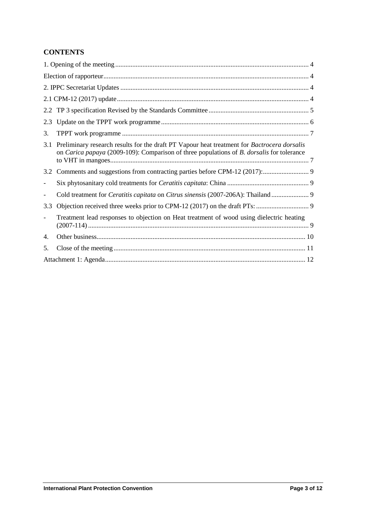# **CONTENTS**

| 2.3                                                                                                                                                                                                    |  |  |  |
|--------------------------------------------------------------------------------------------------------------------------------------------------------------------------------------------------------|--|--|--|
| 3.                                                                                                                                                                                                     |  |  |  |
| Preliminary research results for the draft PT Vapour heat treatment for Bactrocera dorsalis<br>3.1<br>on Carica papaya (2009-109): Comparison of three populations of <i>B. dorsalis</i> for tolerance |  |  |  |
| 3.2                                                                                                                                                                                                    |  |  |  |
|                                                                                                                                                                                                        |  |  |  |
|                                                                                                                                                                                                        |  |  |  |
| 3.3                                                                                                                                                                                                    |  |  |  |
| Treatment lead responses to objection on Heat treatment of wood using dielectric heating                                                                                                               |  |  |  |
| 4.                                                                                                                                                                                                     |  |  |  |
| 5.                                                                                                                                                                                                     |  |  |  |
|                                                                                                                                                                                                        |  |  |  |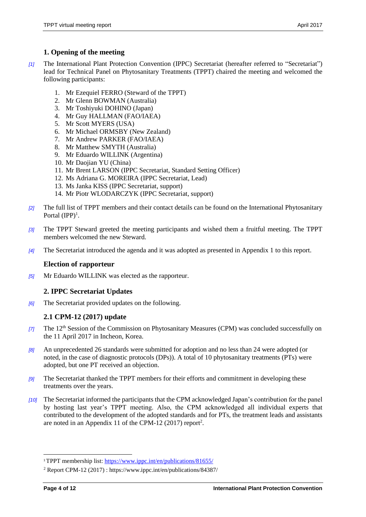## <span id="page-3-0"></span>**1. Opening of the meeting**

- *[1]* The International Plant Protection Convention (IPPC) Secretariat (hereafter referred to "Secretariat") lead for Technical Panel on Phytosanitary Treatments (TPPT) chaired the meeting and welcomed the following participants:
	- 1. Mr Ezequiel FERRO (Steward of the TPPT)
	- 2. Mr Glenn BOWMAN (Australia)
	- 3. Mr Toshiyuki DOHINO (Japan)
	- 4. Mr Guy HALLMAN (FAO/IAEA)
	- 5. Mr Scott MYERS (USA)
	- 6. Mr Michael ORMSBY (New Zealand)
	- 7. Mr Andrew PARKER (FAO/IAEA)
	- 8. Mr Matthew SMYTH (Australia)
	- 9. Mr Eduardo WILLINK (Argentina)
	- 10. Mr Daojian YU (China)
	- 11. Mr Brent LARSON (IPPC Secretariat, Standard Setting Officer)
	- 12. Ms Adriana G. MOREIRA (IPPC Secretariat, Lead)
	- 13. Ms Janka KISS (IPPC Secretariat, support)
	- 14. Mr Piotr WLODARCZYK (IPPC Secretariat, support)
- *[2]* The full list of TPPT members and their contact details can be found on the International Phytosanitary Portal  $(IPP)^1$ .
- *[3]* The TPPT Steward greeted the meeting participants and wished them a fruitful meeting. The TPPT members welcomed the new Steward.
- *[4]* The Secretariat introduced the agenda and it was adopted as presented in Appendix 1 to this report.

#### <span id="page-3-1"></span>**Election of rapporteur**

*[5]* Mr Eduardo WILLINK was elected as the rapporteur.

#### <span id="page-3-2"></span>**2. IPPC Secretariat Updates**

*[6]* The Secretariat provided updates on the following.

# <span id="page-3-3"></span>**2.1 CPM-12 (2017) update**

- <sup>[7]</sup> The 12<sup>th</sup> Session of the Commission on Phytosanitary Measures (CPM) was concluded successfully on the 11 April 2017 in Incheon, Korea.
- *[8]* An unprecedented 26 standards were submitted for adoption and no less than 24 were adopted (or noted, in the case of diagnostic protocols (DPs)). A total of 10 phytosanitary treatments (PTs) were adopted, but one PT received an objection.
- *[9]* The Secretariat thanked the TPPT members for their efforts and commitment in developing these treatments over the years.
- *[10]* The Secretariat informed the participants that the CPM acknowledged Japan's contribution for the panel by hosting last year's TPPT meeting. Also, the CPM acknowledged all individual experts that contributed to the development of the adopted standards and for PTs, the treatment leads and assistants are noted in an Appendix 11 of the CPM-12 (2017) report<sup>2</sup>.

<sup>1</sup>TPPT membership list: https://www.ippc.int/en/publications/81655/

<sup>2</sup> Report CPM-12 (2017) : https://www.ippc.int/en/publications/84387/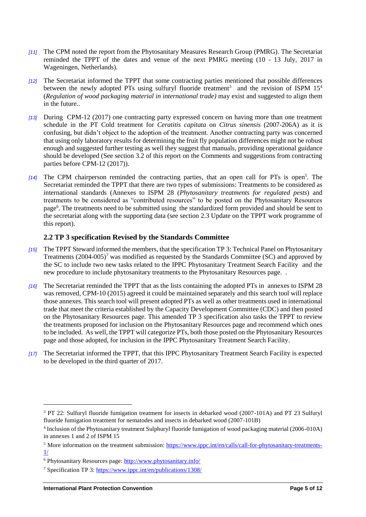- *[11]* The CPM noted the report from the Phytosanitary Measures Research Group (PMRG). The Secretariat reminded the TPPT of the dates and venue of the next PMRG meeting (10 - 13 July, 2017 in Wageningen, Netherlands).
- *[12]* The Secretariat informed the TPPT that some contracting parties mentioned that possible differences between the newly adopted PTs using sulfuryl fluoride treatment<sup>3</sup> and the revision of ISPM 15<sup>4</sup> (*Regulation of wood packaging material in international trade)* may exist and suggested to align them in the future..
- *[13]* During CPM-12 (2017) one contracting party expressed concern on having more than one treatment schedule in the PT Cold treatment for *Ceratitis capitata* on *Citrus sinensis* (2007-206A) as it is confusing, but didn't object to the adoption of the treatment. Another contracting party was concerned that using only laboratory results for determining the fruit fly population differences might not be robust enough and suggested further testing as well they suggest that manuals, providing operational guidance should be developed (See section 3.2 of this report on the Comments and suggestions from contracting parties before CPM-12 (2017)).
- [14] The CPM chairperson reminded the contracting parties, that an open call for PTs is open<sup>5</sup>. The Secretariat reminded the TPPT that there are two types of submissions: Treatments to be considered as international standards (Annexes to ISPM 28 (*Phytosanitary treatments for regulated pests*) and treatments to be considered as "contributed resources" to be posted on the Phytosanitary Resources page<sup>6</sup>. The treatments need to be submitted using the standardized form provided and should be sent to the secretariat along with the supporting data (see section 2.3 Update on the TPPT work programme of this report).

#### <span id="page-4-0"></span>**2.2 TP 3 specification Revised by the Standards Committee**

- *[15]* The TPPT Steward informed the members, that the specification TP 3: Technical Panel on Phytosanitary Treatments  $(2004-005)^7$  was modified as requested by the Standards Committee (SC) and approved by the SC to include two new tasks related to the IPPC Phytosanitary Treatment Search Facility and the new procedure to include phytosanitary treatments to the Phytosanitary Resources page. .
- *[16]* The Secretariat reminded the TPPT that as the lists containing the adopted PTs in annexes to ISPM 28 was removed, CPM-10 (2015) agreed it could be maintained separately and this search tool will replace those annexes. This search tool will present adopted PTs as well as other treatments used in international trade that meet the criteria established by the Capacity Development Committee (CDC) and then posted on the Phytosanitary Resources page. This amended TP 3 specification also tasks the TPPT to review the treatments proposed for inclusion on the Phytosanitary Resources page and recommend which ones to be included. As well, the TPPT will categorize PTs, both those posted on the Phytosanitary Resources page and those adopted, for inclusion in the IPPC Phytosanitary Treatment Search Facility.
- *[17]* The Secretariat informed the TPPT, that this IPPC Phytosanitary Treatment Search Facility is expected to be developed in the third quarter of 2017.

<sup>&</sup>lt;sup>3</sup> PT 22: Sulfuryl fluoride fumigation treatment for insects in debarked wood (2007-101A) and PT 23 Sulfuryl fluoride fumigation treatment for nematodes and insects in debarked wood (2007-101B)

<sup>4</sup> Inclusion of the Phytosanitary treatment Sulphuryl fluoride fumigation of wood packaging material (2006-010A) in annexes 1 and 2 of ISPM 15

<sup>&</sup>lt;sup>5</sup> More information on the treatment submission: [https://www.ippc.int/en/calls/call-for-phytosanitary-treatments-](https://www.ippc.int/en/calls/call-for-phytosanitary-treatments-1/) $1/$ 

<sup>6</sup> Phytosanitary Resources page:<http://www.phytosanitary.info/>

<sup>7</sup> Specification TP 3:<https://www.ippc.int/en/publications/1308/>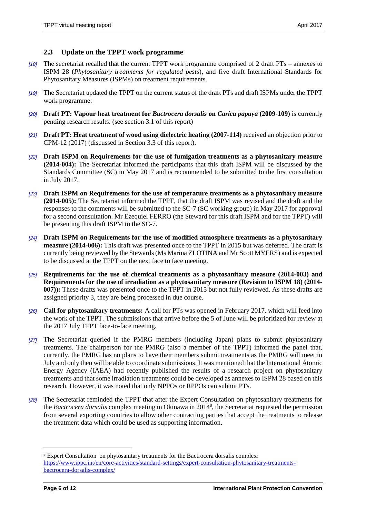#### <span id="page-5-0"></span>**2.3 Update on the TPPT work programme**

- *[18]* The secretariat recalled that the current TPPT work programme comprised of 2 draft PTs annexes to ISPM 28 (*Phytosanitary treatments for regulated pests*), and five draft International Standards for Phytosanitary Measures (ISPMs) on treatment requirements.
- *[19]* The Secretariat updated the TPPT on the current status of the draft PTs and draft ISPMs under the TPPT work programme:
- *[20]* **Draft PT: Vapour heat treatment for** *Bactrocera dorsalis* **on** *Carica papaya* **(2009-109)** is currently pending research results. (see section 3.1 of this report)
- *[21]* **Draft PT: Heat treatment of wood using dielectric heating (2007-114)** received an objection prior to CPM-12 (2017) (discussed in Section 3.3 of this report).
- *[22]* **Draft ISPM on Requirements for the use of fumigation treatments as a phytosanitary measure (2014-004):** The Secretariat informed the participants that this draft ISPM will be discussed by the Standards Committee (SC) in May 2017 and is recommended to be submitted to the first consultation in July 2017.
- *[23]* **Draft ISPM on Requirements for the use of temperature treatments as a phytosanitary measure (2014-005):** The Secretariat informed the TPPT, that the draft ISPM was revised and the draft and the responses to the comments will be submitted to the SC-7 (SC working group) in May 2017 for approval for a second consultation. Mr Ezequiel FERRO (the Steward for this draft ISPM and for the TPPT) will be presenting this draft ISPM to the SC-7.
- *[24]* **Draft ISPM on Requirements for the use of modified atmosphere treatments as a phytosanitary measure (2014-006):** This draft was presented once to the TPPT in 2015 but was deferred. The draft is currently being reviewed by the Stewards (Ms Marina ZLOTINA and Mr Scott MYERS) and is expected to be discussed at the TPPT on the next face to face meeting.
- *[25]* **Requirements for the use of chemical treatments as a phytosanitary measure (2014-003) and Requirements for the use of irradiation as a phytosanitary measure (Revision to ISPM 18) (2014- 007)):** These drafts was presented once to the TPPT in 2015 but not fully reviewed. As these drafts are assigned priority 3, they are being processed in due course.
- *[26]* **Call for phytosanitary treatments:** A call for PTs was opened in February 2017, which will feed into the work of the TPPT. The submissions that arrive before the 5 of June will be prioritized for review at the 2017 July TPPT face-to-face meeting.
- *[27]* The Secretariat queried if the PMRG members (including Japan) plans to submit phytosanitary treatments. The chairperson for the PMRG (also a member of the TPPT) informed the panel that, currently, the PMRG has no plans to have their members submit treatments as the PMRG will meet in July and only then will be able to coordinate submissions. It was mentioned that the International Atomic Energy Agency (IAEA) had recently published the results of a research project on phytosanitary treatments and that some irradiation treatments could be developed as annexes to ISPM 28 based on this research. However, it was noted that only NPPOs or RPPOs can submit PTs.
- *[28]* The Secretariat reminded the TPPT that after the Expert Consultation on phytosanitary treatments for the *Bactrocera dorsalis* complex meeting in Okinawa in 2014<sup>8</sup> , the Secretariat requested the permission from several exporting countries to allow other contracting parties that accept the treatments to release the treatment data which could be used as supporting information.

<sup>8</sup> Expert Consultation on phytosanitary treatments for the Bactrocera dorsalis complex: [https://www.ippc.int/en/core-activities/standard-settings/expert-consultation-phytosanitary-treatments](https://www.ippc.int/en/core-activities/standard-settings/expert-consultation-phytosanitary-treatments-bactrocera-dorsalis-complex/)[bactrocera-dorsalis-complex/](https://www.ippc.int/en/core-activities/standard-settings/expert-consultation-phytosanitary-treatments-bactrocera-dorsalis-complex/)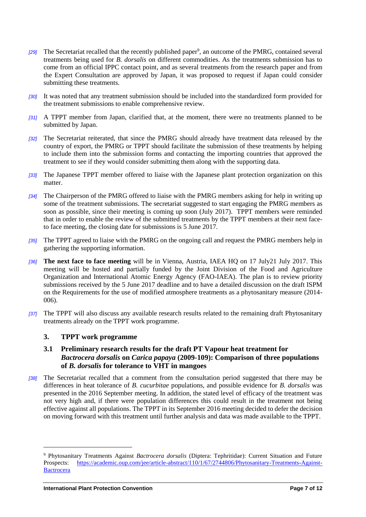- [29] The Secretariat recalled that the recently published paper<sup>9</sup>, an outcome of the PMRG, contained several treatments being used for *B. dorsalis* on different commodities. As the treatments submission has to come from an official IPPC contact point, and as several treatments from the research paper and from the Expert Consultation are approved by Japan, it was proposed to request if Japan could consider submitting these treatments.
- *[30]* It was noted that any treatment submission should be included into the standardized form provided for the treatment submissions to enable comprehensive review.
- *[31]* A TPPT member from Japan, clarified that, at the moment, there were no treatments planned to be submitted by Japan.
- *[32]* The Secretariat reiterated, that since the PMRG should already have treatment data released by the country of export, the PMRG or TPPT should facilitate the submission of these treatments by helping to include them into the submission forms and contacting the importing countries that approved the treatment to see if they would consider submitting them along with the supporting data.
- *[33]* The Japanese TPPT member offered to liaise with the Japanese plant protection organization on this matter.
- *[34]* The Chairperson of the PMRG offered to liaise with the PMRG members asking for help in writing up some of the treatment submissions. The secretariat suggested to start engaging the PMRG members as soon as possible, since their meeting is coming up soon (July 2017). TPPT members were reminded that in order to enable the review of the submitted treatments by the TPPT members at their next faceto face meeting, the closing date for submissions is 5 June 2017.
- *[35]* The TPPT agreed to liaise with the PMRG on the ongoing call and request the PMRG members help in gathering the supporting information.
- *[36]* **The next face to face meeting** will be in Vienna, Austria, IAEA HQ on 17 July21 July 2017. This meeting will be hosted and partially funded by the Joint Division of the Food and Agriculture Organization and International Atomic Energy Agency (FAO-IAEA). The plan is to review priority submissions received by the 5 June 2017 deadline and to have a detailed discussion on the draft ISPM on the Requirements for the use of modified atmosphere treatments as a phytosanitary measure (2014- 006).
- *[37]* The TPPT will also discuss any available research results related to the remaining draft Phytosanitary treatments already on the TPPT work programme.

#### <span id="page-6-0"></span>**3. TPPT work programme**

#### <span id="page-6-1"></span>**3.1 Preliminary research results for the draft PT Vapour heat treatment for**  *Bactrocera dorsalis* **on** *Carica papaya* **(2009-109): Comparison of three populations of** *B. dorsalis* **for tolerance to VHT in mangoes**

*[38]* The Secretariat recalled that a comment from the consultation period suggested that there may be differences in heat tolerance of *B. cucurbitae* populations, and possible evidence for *B. dorsalis* was presented in the 2016 September meeting. In addition, the stated level of efficacy of the treatment was not very high and, if there were population differences this could result in the treatment not being effective against all populations. The TPPT in its September 2016 meeting decided to defer the decision on moving forward with this treatment until further analysis and data was made available to the TPPT.

<sup>9</sup> Phytosanitary Treatments Against *Bactrocera dorsalis* (Diptera: Tephritidae): Current Situation and Future Prospects: [https://academic.oup.com/jee/article-abstract/110/1/67/2744806/Phytosanitary-Treatments-Against-](https://academic.oup.com/jee/article-abstract/110/1/67/2744806/Phytosanitary-Treatments-Against-Bactrocera)**[Bactrocera](https://academic.oup.com/jee/article-abstract/110/1/67/2744806/Phytosanitary-Treatments-Against-Bactrocera)**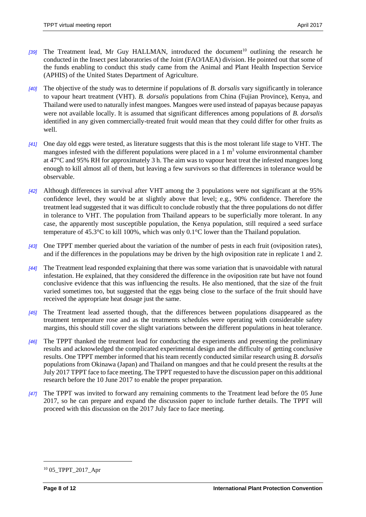- **[39]** The Treatment lead, Mr Guy HALLMAN, introduced the document<sup>10</sup> outlining the research he conducted in the Insect pest laboratories of the Joint (FAO/IAEA) division. He pointed out that some of the funds enabling to conduct this study came from the Animal and Plant Health Inspection Service (APHIS) of the United States Department of Agriculture.
- *[40]* The objective of the study was to determine if populations of *B. dorsalis* vary significantly in tolerance to vapour heart treatment (VHT). *B. dorsalis* populations from China (Fujian Province), Kenya, and Thailand were used to naturally infest mangoes. Mangoes were used instead of papayas because papayas were not available locally. It is assumed that significant differences among populations of *B. dorsalis* identified in any given commercially-treated fruit would mean that they could differ for other fruits as well.
- *[41]* One day old eggs were tested, as literature suggests that this is the most tolerant life stage to VHT. The mangoes infested with the different populations were placed in a  $1 \text{ m}^3$  volume environmental chamber at 47°C and 95% RH for approximately 3 h. The aim was to vapour heat treat the infested mangoes long enough to kill almost all of them, but leaving a few survivors so that differences in tolerance would be observable.
- *[42]* Although differences in survival after VHT among the 3 populations were not significant at the 95% confidence level, they would be at slightly above that level; e.g., 90% confidence. Therefore the treatment lead suggested that it was difficult to conclude robustly that the three populations do not differ in tolerance to VHT. The population from Thailand appears to be superficially more tolerant. In any case, the apparently most susceptible population, the Kenya population, still required a seed surface temperature of 45.3°C to kill 100%, which was only 0.1°C lower than the Thailand population.
- *[43]* One TPPT member queried about the variation of the number of pests in each fruit (oviposition rates), and if the differences in the populations may be driven by the high oviposition rate in replicate 1 and 2.
- *[44]* The Treatment lead responded explaining that there was some variation that is unavoidable with natural infestation. He explained, that they considered the difference in the oviposition rate but have not found conclusive evidence that this was influencing the results. He also mentioned, that the size of the fruit varied sometimes too, but suggested that the eggs being close to the surface of the fruit should have received the appropriate heat dosage just the same.
- *[45]* The Treatment lead asserted though, that the differences between populations disappeared as the treatment temperature rose and as the treatments schedules were operating with considerable safety margins, this should still cover the slight variations between the different populations in heat tolerance.
- *[46]* The TPPT thanked the treatment lead for conducting the experiments and presenting the preliminary results and acknowledged the complicated experimental design and the difficulty of getting conclusive results. One TPPT member informed that his team recently conducted similar research using *B. dorsalis* populations from Okinawa (Japan) and Thailand on mangoes and that he could present the results at the July 2017 TPPT face to face meeting. The TPPT requested to have the discussion paper on this additional research before the 10 June 2017 to enable the proper preparation.
- *[47]* The TPPT was invited to forward any remaining comments to the Treatment lead before the 05 June 2017, so he can prepare and expand the discussion paper to include further details. The TPPT will proceed with this discussion on the 2017 July face to face meeting.

 $\overline{a}$ 

<sup>10</sup> 05\_TPPT\_2017\_Apr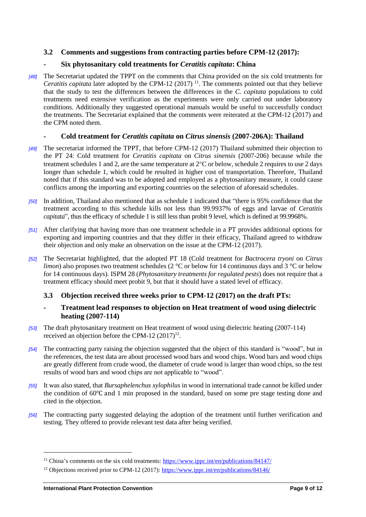#### <span id="page-8-0"></span>**3.2 Comments and suggestions from contracting parties before CPM-12 (2017):**

#### <span id="page-8-1"></span>**- Six phytosanitary cold treatments for** *Ceratitis capitata***: China**

*[48]* The Secretariat updated the TPPT on the comments that China provided on the six cold treatments for *Ceratitis capitata* later adopted by the CPM-12  $(2017)$ <sup>11</sup>. The comments pointed out that they believe that the study to test the differences between the differences in the *C. capitata* populations to cold treatments need extensive verification as the experiments were only carried out under laboratory conditions. Additionally they suggested operational manuals would be useful to successfully conduct the treatments. The Secretariat explained that the comments were reiterated at the CPM-12 (2017) and the CPM noted them.

#### <span id="page-8-2"></span>**- Cold treatment for** *Ceratitis capitata* **on** *Citrus sinensis* **(2007-206A): Thailand**

- *[49]* The secretariat informed the TPPT, that before CPM-12 (2017) Thailand submitted their objection to the PT 24: Cold treatment for *Ceratitis capitata* on *Citrus sinensis* (2007-206) because while the treatment schedules 1 and 2, are the same temperature at  $2^{\circ}$ C or below, schedule 2 requires to use 2 days longer than schedule 1, which could be resulted in higher cost of transportation. Therefore, Thailand noted that if this standard was to be adopted and employed as a phytosanitary measure, it could cause conflicts among the importing and exporting countries on the selection of aforesaid schedules.
- *[50]* In addition, Thailand also mentioned that as schedule 1 indicated that "there is 95% confidence that the treatment according to this schedule kills not less than 99.9937% of eggs and larvae of *Ceratitis capitata*", thus the efficacy of schedule 1 is still less than probit 9 level, which is defined at 99.9968%.
- *[51]* After clarifying that having more than one treatment schedule in a PT provides additional options for exporting and importing countries and that they differ in their efficacy, Thailand agreed to withdraw their objection and only make an observation on the issue at the CPM-12 (2017).
- *[52]* The Secretariat highlighted, that the adopted PT 18 (Cold treatment for *Bactrocera tryoni* on *Citrus limon*) also proposes two treatment schedules (2 °C or below for 14 continuous days and 3 °C or below for 14 continuous days). ISPM 28 (*Phytosanitary treatments for regulated pests*) does not require that a treatment efficacy should meet probit 9, but that it should have a stated level of efficacy.

# <span id="page-8-3"></span>**3.3 Objection received three weeks prior to CPM-12 (2017) on the draft PTs:**

#### <span id="page-8-4"></span>**- Treatment lead responses to objection on Heat treatment of wood using dielectric heating (2007-114)**

- *[53]* The draft phytosanitary treatment on Heat treatment of wood using dielectric heating (2007-114) received an objection before the CPM-12  $(2017)^{12}$ .
- *[54]* The contracting party raising the objection suggested that the object of this standard is "wood", but in the references, the test data are about processed wood bars and wood chips. Wood bars and wood chips are greatly different from crude wood, the diameter of crude wood is larger than wood chips, so the test results of wood bars and wood chips are not applicable to "wood".
- *[55]* It was also stated, that *Bursaphelenchus xylophilus* in wood in international trade cannot be killed under the condition of 60℃ and 1 min proposed in the standard, based on some pre stage testing done and cited in the objection.
- *[56]* The contracting party suggested delaying the adoption of the treatment until further verification and testing. They offered to provide relevant test data after being verified.

<sup>&</sup>lt;sup>11</sup> China's comments on the six cold treatments:<https://www.ippc.int/en/publications/84147/>

<sup>12</sup> Objections received prior to CPM-12 (2017):<https://www.ippc.int/en/publications/84146/>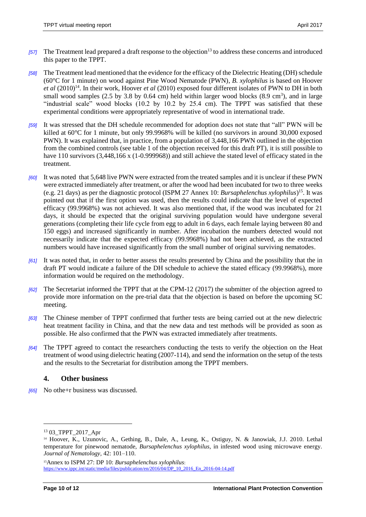- *[57]* The Treatment lead prepared a draft response to the objection<sup>13</sup> to address these concerns and introduced this paper to the TPPT.
- *[58]* The Treatment lead mentioned that the evidence for the efficacy of the Dielectric Heating (DH) schedule (60°C for 1 minute) on wood against Pine Wood Nematode (PWN), *B. xylophilus* is based on Hoover *et al* (2010)<sup>14</sup>. In their work, Hoover *et al* (2010) exposed four different isolates of PWN to DH in both small wood samples  $(2.5 \text{ by } 3.8 \text{ by } 0.64 \text{ cm})$  held within larger wood blocks  $(8.9 \text{ cm}^3)$ , and in large "industrial scale" wood blocks (10.2 by 10.2 by 25.4 cm). The TPPT was satisfied that these experimental conditions were appropriately representative of wood in international trade.
- *[59]* It was stressed that the DH schedule recommended for adoption does not state that "all" PWN will be killed at 60°C for 1 minute, but only 99.9968% will be killed (no survivors in around 30,000 exposed PWN). It was explained that, in practice, from a population of 3,448,166 PWN outlined in the objection from the combined controls (see table 1 of the objection received for this draft PT), it is still possible to have 110 survivors (3,448,166 x (1-0.999968)) and still achieve the stated level of efficacy stated in the treatment.
- *[60]* It was noted that 5,648 live PWN were extracted from the treated samples and it is unclear if these PWN were extracted immediately after treatment, or after the wood had been incubated for two to three weeks (e.g. 21 days) as per the diagnostic protocol (ISPM 27 Annex 10: *Bursaphelenchus xylophilus*) 15 . It was pointed out that if the first option was used, then the results could indicate that the level of expected efficacy (99.9968%) was not achieved. It was also mentioned that, if the wood was incubated for 21 days, it should be expected that the original surviving population would have undergone several generations (completing their life cycle from egg to adult in 6 days, each female laying between 80 and 150 eggs) and increased significantly in number. After incubation the numbers detected would not necessarily indicate that the expected efficacy (99.9968%) had not been achieved, as the extracted numbers would have increased significantly from the small number of original surviving nematodes.
- *[61]* It was noted that, in order to better assess the results presented by China and the possibility that the in draft PT would indicate a failure of the DH schedule to achieve the stated efficacy (99.9968%), more information would be required on the methodology.
- *[62]* The Secretariat informed the TPPT that at the CPM-12 (2017) the submitter of the objection agreed to provide more information on the pre-trial data that the objection is based on before the upcoming SC meeting.
- *[63]* The Chinese member of TPPT confirmed that further tests are being carried out at the new dielectric heat treatment facility in China, and that the new data and test methods will be provided as soon as possible. He also confirmed that the PWN was extracted immediately after treatments.
- *[64]* The TPPT agreed to contact the researchers conducting the tests to verify the objection on the Heat treatment of wood using dielectric heating (2007-114), and send the information on the setup of the tests and the results to the Secretariat for distribution among the TPPT members.

# <span id="page-9-0"></span>**4. Other business**

*[65]* No othe+r business was discussed.

 $\overline{a}$ 

<sup>13</sup> 03\_TPPT\_2017\_Apr

<sup>14</sup> Hoover, K., Uzunovic, A., Gething, B., Dale, A., Leung, K., Ostiguy, N. & Janowiak, J.J. 2010. Lethal temperature for pinewood nematode, *Bursaphelenchus xylophilus*, in infested wood using microwave energy. *Journal of Nematology,* 42: 101–110.

<sup>15</sup>Annex to ISPM 27: DP 10: *Bursaphelenchus xylophilus*: [https://www.ippc.int/static/media/files/publication/en/2016/04/DP\\_10\\_2016\\_En\\_2016-04-14.pdf](https://www.ippc.int/static/media/files/publication/en/2016/04/DP_10_2016_En_2016-04-14.pdf)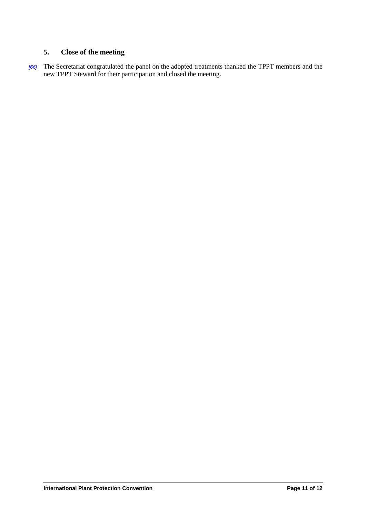# <span id="page-10-0"></span>**5. Close of the meeting**

*[66]* The Secretariat congratulated the panel on the adopted treatments thanked the TPPT members and the new TPPT Steward for their participation and closed the meeting.